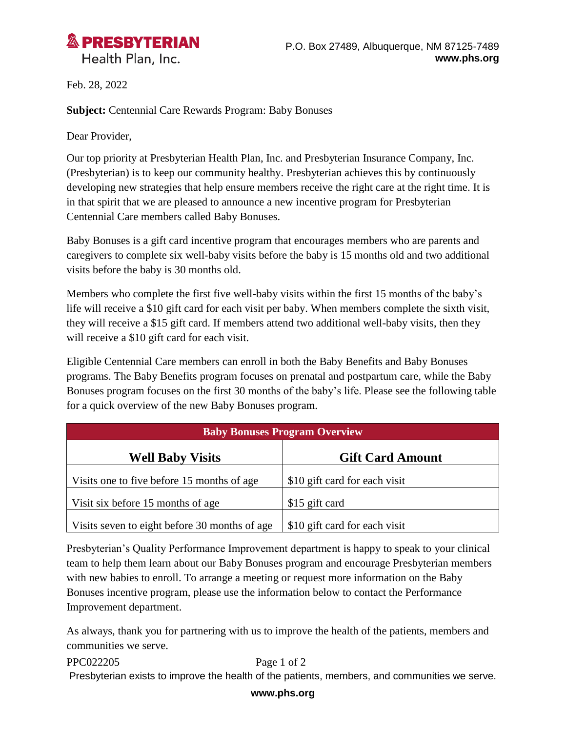

Health Plan, Inc.

Feb. 28, 2022

**Subject:** Centennial Care Rewards Program: Baby Bonuses

Dear Provider,

Our top priority at Presbyterian Health Plan, Inc. and Presbyterian Insurance Company, Inc. (Presbyterian) is to keep our community healthy. Presbyterian achieves this by continuously developing new strategies that help ensure members receive the right care at the right time. It is in that spirit that we are pleased to announce a new incentive program for Presbyterian Centennial Care members called Baby Bonuses.

Baby Bonuses is a gift card incentive program that encourages members who are parents and caregivers to complete six well-baby visits before the baby is 15 months old and two additional visits before the baby is 30 months old.

Members who complete the first five well-baby visits within the first 15 months of the baby's life will receive a \$10 gift card for each visit per baby. When members complete the sixth visit, they will receive a \$15 gift card. If members attend two additional well-baby visits, then they will receive a \$10 gift card for each visit.

Eligible Centennial Care members can enroll in both the Baby Benefits and Baby Bonuses programs. The Baby Benefits program focuses on prenatal and postpartum care, while the Baby Bonuses program focuses on the first 30 months of the baby's life. Please see the following table for a quick overview of the new Baby Bonuses program.

| <b>Baby Bonuses Program Overview</b>           |                               |
|------------------------------------------------|-------------------------------|
| <b>Well Baby Visits</b>                        | <b>Gift Card Amount</b>       |
| Visits one to five before 15 months of age     | \$10 gift card for each visit |
| Visit six before 15 months of age              | \$15 gift card                |
| Visits seven to eight before 30 months of age. | \$10 gift card for each visit |

Presbyterian's Quality Performance Improvement department is happy to speak to your clinical team to help them learn about our Baby Bonuses program and encourage Presbyterian members with new babies to enroll. To arrange a meeting or request more information on the Baby Bonuses incentive program, please use the information below to contact the Performance Improvement department.

As always, thank you for partnering with us to improve the health of the patients, members and communities we serve.

PPC022205 Page 1 of 2 Presbyterian exists to improve the health of the patients, members, and communities we serve.

**www.phs.org**